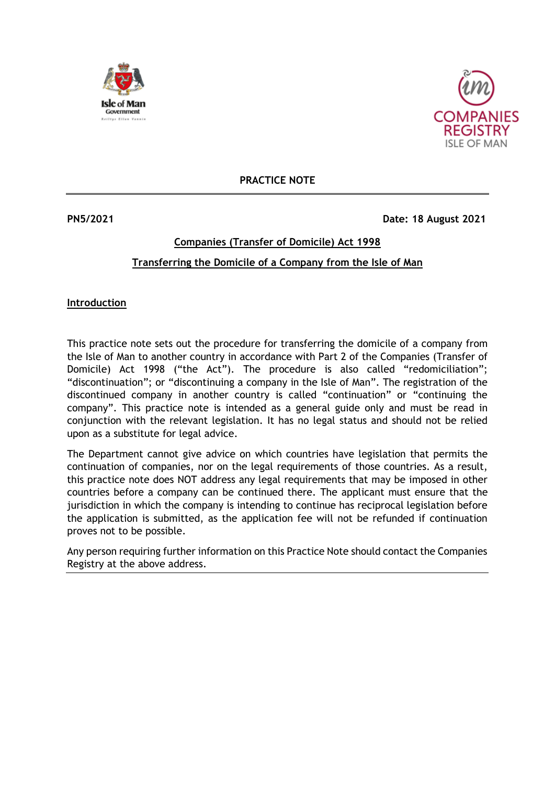



**PRACTICE NOTE**

### **PN5/2021 Date: 18 August 2021**

## **Companies (Transfer of Domicile) Act 1998 Transferring the Domicile of a Company from the Isle of Man**

### **Introduction**

This practice note sets out the procedure for transferring the domicile of a company from the Isle of Man to another country in accordance with Part 2 of the Companies (Transfer of Domicile) Act 1998 ("the Act"). The procedure is also called "redomiciliation"; "discontinuation"; or "discontinuing a company in the Isle of Man". The registration of the discontinued company in another country is called "continuation" or "continuing the company". This practice note is intended as a general guide only and must be read in conjunction with the relevant legislation. It has no legal status and should not be relied upon as a substitute for legal advice.

The Department cannot give advice on which countries have legislation that permits the continuation of companies, nor on the legal requirements of those countries. As a result, this practice note does NOT address any legal requirements that may be imposed in other countries before a company can be continued there. The applicant must ensure that the jurisdiction in which the company is intending to continue has reciprocal legislation before the application is submitted, as the application fee will not be refunded if continuation proves not to be possible.

Any person requiring further information on this Practice Note should contact the Companies Registry at the above address.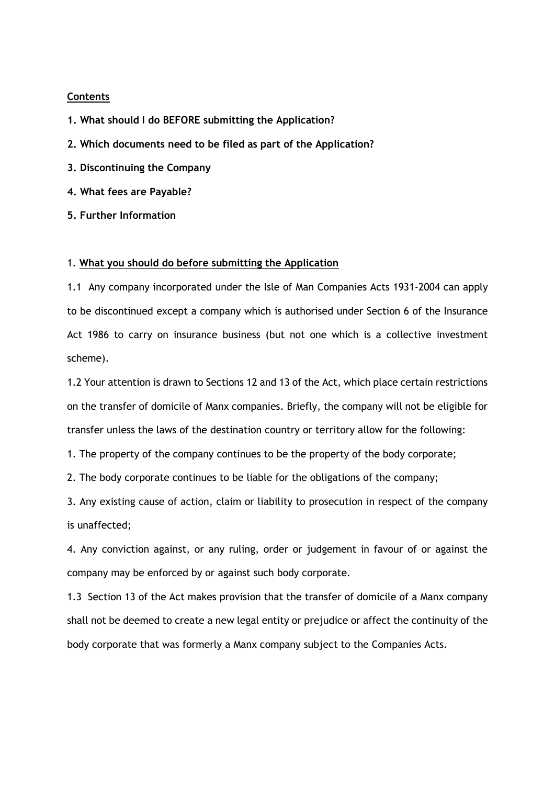#### **Contents**

- **1. What should I do BEFORE submitting the Application?**
- **2. Which documents need to be filed as part of the Application?**
- **3. Discontinuing the Company**
- **4. What fees are Payable?**
- **5. Further Information**

#### 1. **What you should do before submitting the Application**

1.1 Any company incorporated under the Isle of Man Companies Acts 1931-2004 can apply to be discontinued except a company which is authorised under Section 6 of the Insurance Act 1986 to carry on insurance business (but not one which is a collective investment scheme).

1.2 Your attention is drawn to Sections 12 and 13 of the Act, which place certain restrictions on the transfer of domicile of Manx companies. Briefly, the company will not be eligible for transfer unless the laws of the destination country or territory allow for the following:

1. The property of the company continues to be the property of the body corporate;

2. The body corporate continues to be liable for the obligations of the company;

3. Any existing cause of action, claim or liability to prosecution in respect of the company is unaffected;

4. Any conviction against, or any ruling, order or judgement in favour of or against the company may be enforced by or against such body corporate.

1.3 Section 13 of the Act makes provision that the transfer of domicile of a Manx company shall not be deemed to create a new legal entity or prejudice or affect the continuity of the body corporate that was formerly a Manx company subject to the Companies Acts.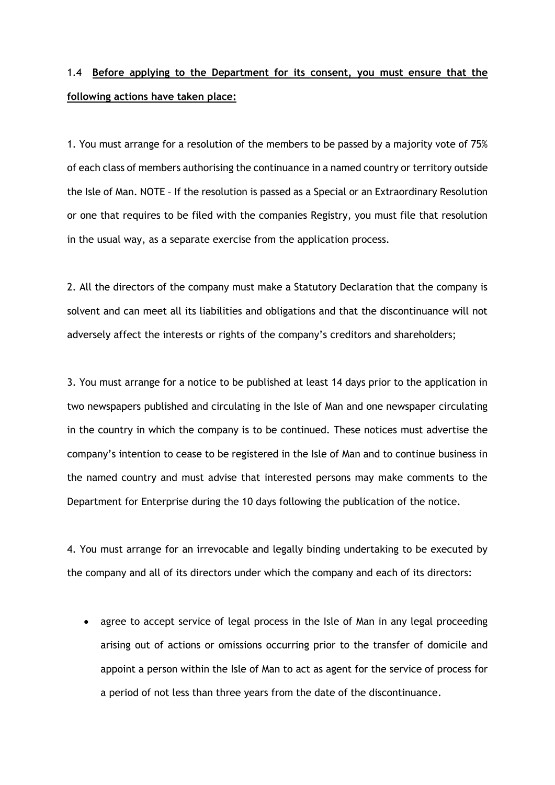# 1.4 **Before applying to the Department for its consent, you must ensure that the following actions have taken place:**

1. You must arrange for a resolution of the members to be passed by a majority vote of 75% of each class of members authorising the continuance in a named country or territory outside the Isle of Man. NOTE – If the resolution is passed as a Special or an Extraordinary Resolution or one that requires to be filed with the companies Registry, you must file that resolution in the usual way, as a separate exercise from the application process.

2. All the directors of the company must make a Statutory Declaration that the company is solvent and can meet all its liabilities and obligations and that the discontinuance will not adversely affect the interests or rights of the company's creditors and shareholders;

3. You must arrange for a notice to be published at least 14 days prior to the application in two newspapers published and circulating in the Isle of Man and one newspaper circulating in the country in which the company is to be continued. These notices must advertise the company's intention to cease to be registered in the Isle of Man and to continue business in the named country and must advise that interested persons may make comments to the Department for Enterprise during the 10 days following the publication of the notice.

4. You must arrange for an irrevocable and legally binding undertaking to be executed by the company and all of its directors under which the company and each of its directors:

• agree to accept service of legal process in the Isle of Man in any legal proceeding arising out of actions or omissions occurring prior to the transfer of domicile and appoint a person within the Isle of Man to act as agent for the service of process for a period of not less than three years from the date of the discontinuance.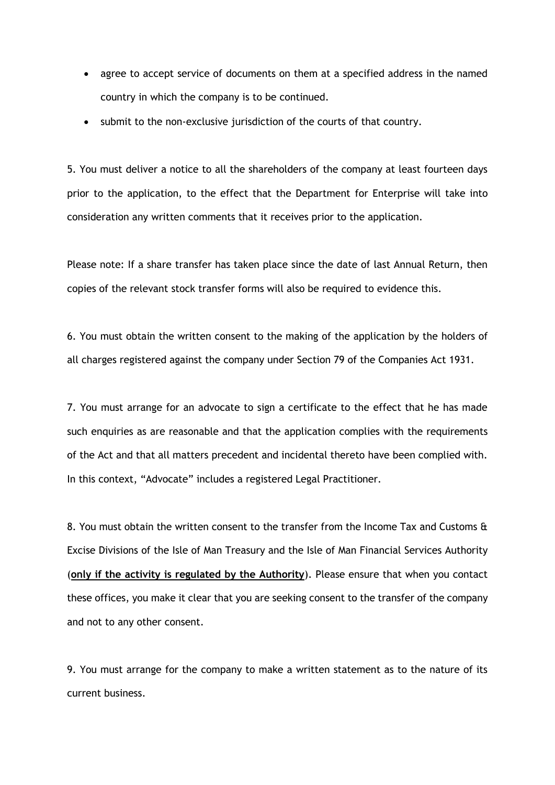- agree to accept service of documents on them at a specified address in the named country in which the company is to be continued.
- submit to the non-exclusive jurisdiction of the courts of that country.

5. You must deliver a notice to all the shareholders of the company at least fourteen days prior to the application, to the effect that the Department for Enterprise will take into consideration any written comments that it receives prior to the application.

Please note: If a share transfer has taken place since the date of last Annual Return, then copies of the relevant stock transfer forms will also be required to evidence this.

6. You must obtain the written consent to the making of the application by the holders of all charges registered against the company under Section 79 of the Companies Act 1931.

7. You must arrange for an advocate to sign a certificate to the effect that he has made such enquiries as are reasonable and that the application complies with the requirements of the Act and that all matters precedent and incidental thereto have been complied with. In this context, "Advocate" includes a registered Legal Practitioner.

8. You must obtain the written consent to the transfer from the Income Tax and Customs & Excise Divisions of the Isle of Man Treasury and the Isle of Man Financial Services Authority (**only if the activity is regulated by the Authority**). Please ensure that when you contact these offices, you make it clear that you are seeking consent to the transfer of the company and not to any other consent.

9. You must arrange for the company to make a written statement as to the nature of its current business.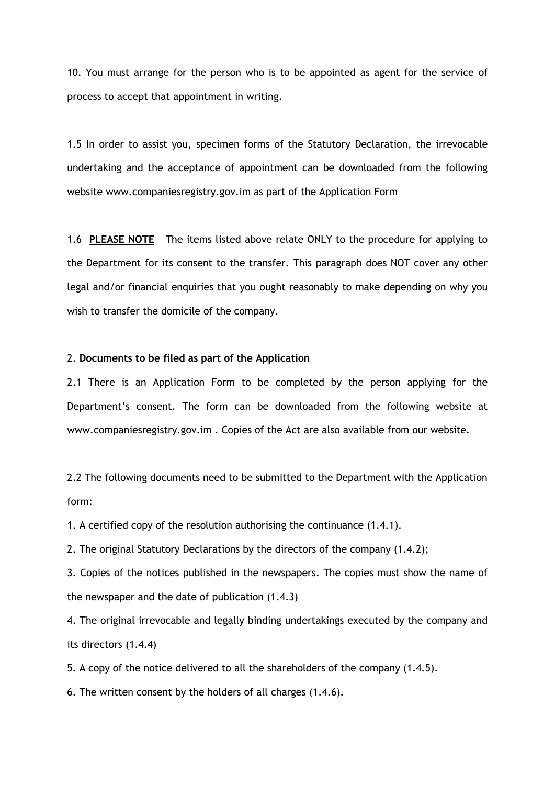10. You must arrange for the person who is to be appointed as agent for the service of process to accept that appointment in writing.

1.5 In order to assist you, specimen forms of the Statutory Declaration, the irrevocable undertaking and the acceptance of appointment can be downloaded from the following website www.companiesregistry.gov.im as part of the Application Form

1.6 **PLEASE NOTE** – The items listed above relate ONLY to the procedure for applying to the Department for its consent to the transfer. This paragraph does NOT cover any other legal and/or financial enquiries that you ought reasonably to make depending on why you wish to transfer the domicile of the company.

#### 2. **Documents to be filed as part of the Application**

2.1 There is an Application Form to be completed by the person applying for the Department's consent. The form can be downloaded from the following website at www.companiesregistry.gov.im . Copies of the Act are also available from our website.

2.2 The following documents need to be submitted to the Department with the Application form:

1. A certified copy of the resolution authorising the continuance (1.4.1).

2. The original Statutory Declarations by the directors of the company (1.4.2);

3. Copies of the notices published in the newspapers. The copies must show the name of the newspaper and the date of publication (1.4.3)

4. The original irrevocable and legally binding undertakings executed by the company and its directors (1.4.4)

5. A copy of the notice delivered to all the shareholders of the company (1.4.5).

6. The written consent by the holders of all charges (1.4.6).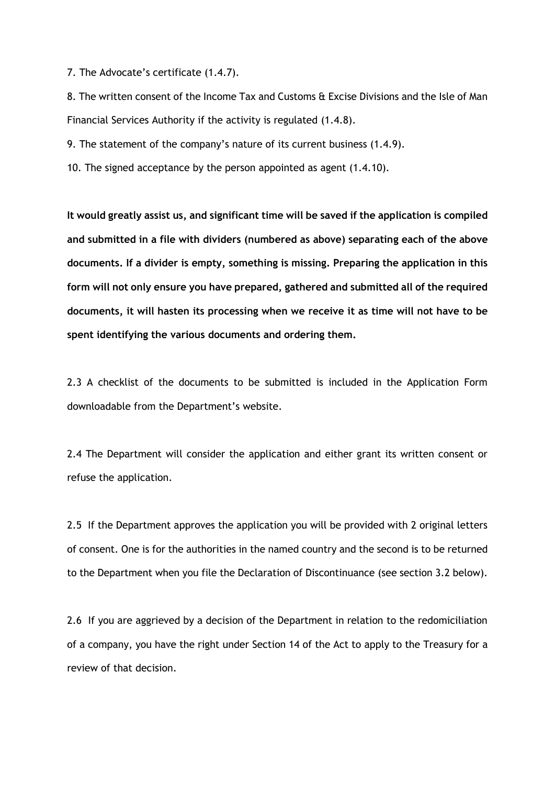7. The Advocate's certificate (1.4.7).

8. The written consent of the Income Tax and Customs & Excise Divisions and the Isle of Man Financial Services Authority if the activity is regulated (1.4.8).

9. The statement of the company's nature of its current business (1.4.9).

10. The signed acceptance by the person appointed as agent (1.4.10).

**It would greatly assist us, and significant time will be saved if the application is compiled and submitted in a file with dividers (numbered as above) separating each of the above documents. If a divider is empty, something is missing. Preparing the application in this form will not only ensure you have prepared, gathered and submitted all of the required documents, it will hasten its processing when we receive it as time will not have to be spent identifying the various documents and ordering them.**

2.3 A checklist of the documents to be submitted is included in the Application Form downloadable from the Department's website.

2.4 The Department will consider the application and either grant its written consent or refuse the application.

2.5 If the Department approves the application you will be provided with 2 original letters of consent. One is for the authorities in the named country and the second is to be returned to the Department when you file the Declaration of Discontinuance (see section 3.2 below).

2.6 If you are aggrieved by a decision of the Department in relation to the redomiciliation of a company, you have the right under Section 14 of the Act to apply to the Treasury for a review of that decision.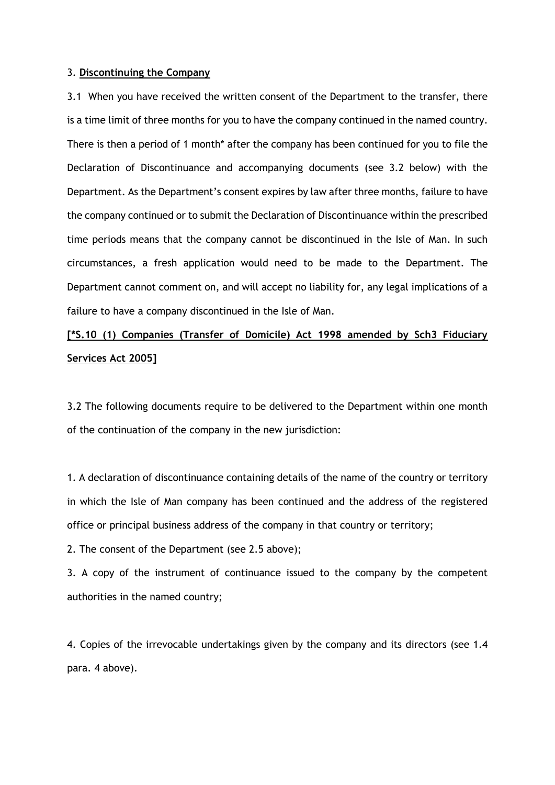#### 3. **Discontinuing the Company**

3.1 When you have received the written consent of the Department to the transfer, there is a time limit of three months for you to have the company continued in the named country. There is then a period of 1 month\* after the company has been continued for you to file the Declaration of Discontinuance and accompanying documents (see 3.2 below) with the Department. As the Department's consent expires by law after three months, failure to have the company continued or to submit the Declaration of Discontinuance within the prescribed time periods means that the company cannot be discontinued in the Isle of Man. In such circumstances, a fresh application would need to be made to the Department. The Department cannot comment on, and will accept no liability for, any legal implications of a failure to have a company discontinued in the Isle of Man.

# **[\*S.10 (1) Companies (Transfer of Domicile) Act 1998 amended by Sch3 Fiduciary Services Act 2005]**

3.2 The following documents require to be delivered to the Department within one month of the continuation of the company in the new jurisdiction:

1. A declaration of discontinuance containing details of the name of the country or territory in which the Isle of Man company has been continued and the address of the registered office or principal business address of the company in that country or territory;

2. The consent of the Department (see 2.5 above);

3. A copy of the instrument of continuance issued to the company by the competent authorities in the named country;

4. Copies of the irrevocable undertakings given by the company and its directors (see 1.4 para. 4 above).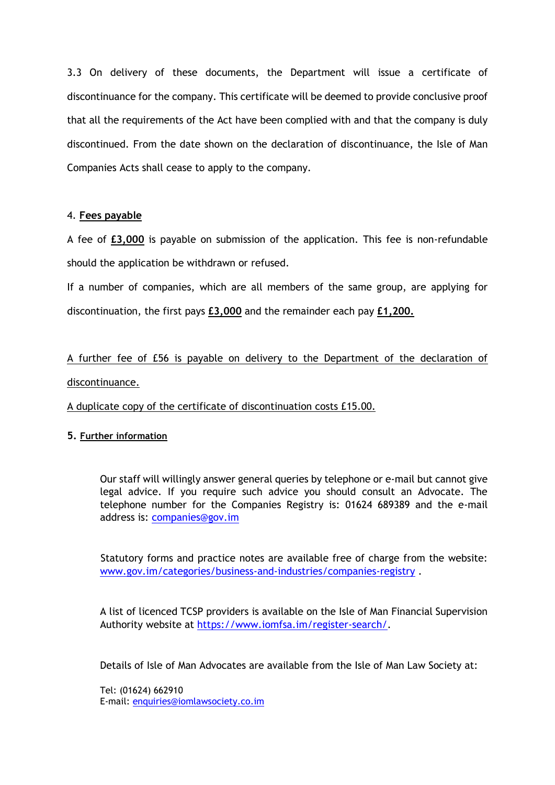3.3 On delivery of these documents, the Department will issue a certificate of discontinuance for the company. This certificate will be deemed to provide conclusive proof that all the requirements of the Act have been complied with and that the company is duly discontinued. From the date shown on the declaration of discontinuance, the Isle of Man Companies Acts shall cease to apply to the company.

## 4. **Fees payable**

A fee of **£3,000** is payable on submission of the application. This fee is non-refundable should the application be withdrawn or refused.

If a number of companies, which are all members of the same group, are applying for discontinuation, the first pays **£3,000** and the remainder each pay **£1,200.**

A further fee of £56 is payable on delivery to the Department of the declaration of discontinuance.

A duplicate copy of the certificate of discontinuation costs £15.00.

## **5. Further information**

Our staff will willingly answer general queries by telephone or e-mail but cannot give legal advice. If you require such advice you should consult an Advocate. The telephone number for the Companies Registry is: 01624 689389 and the e-mail address is: [companies@gov.im](mailto:companies.registry@gov.im)

Statutory forms and practice notes are available free of charge from the website: [www.gov.im/categories/business-and-industries/companies-registry](http://www.gov.im/categories/business-and-industries/companies-registry) .

A list of licenced TCSP providers is available on the Isle of Man Financial Supervision Authority website at [https://www.iomfsa.im/register-search/.](https://www.iomfsa.im/register-search/)

Details of Isle of Man Advocates are available from the Isle of Man Law Society at:

Tel: (01624) 662910 E-mail: [enquiries@iomlawsociety.co.im](mailto:enquiries@iomlawsociety.co.im)